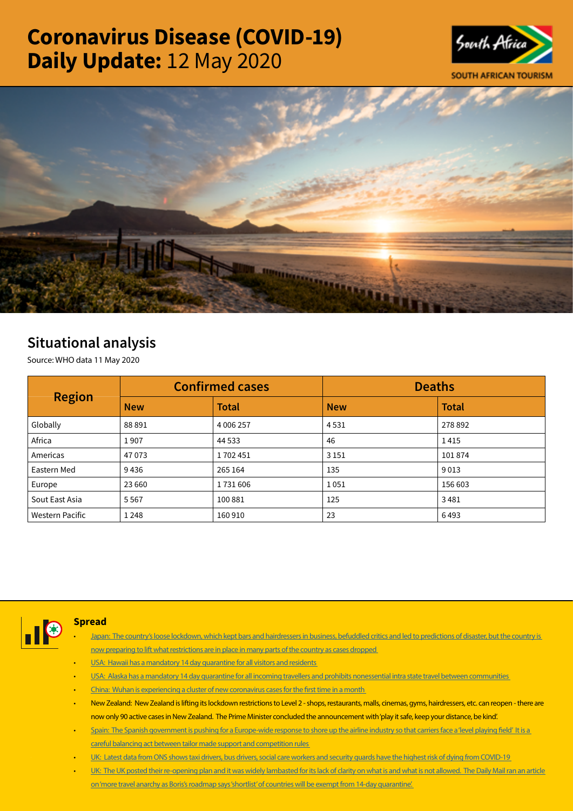# Coronavirus Disease (COVID-19) Daily Update: 12 May 2020





## Situational analysis

Source: WHO data 11 May 2020

| <b>Region</b>          |            | <b>Confirmed cases</b> | <b>Deaths</b> |              |  |
|------------------------|------------|------------------------|---------------|--------------|--|
|                        | <b>New</b> | <b>Total</b>           | <b>New</b>    | <b>Total</b> |  |
| Globally               | 88891      | 4 006 257              | 4531          | 278 892      |  |
| Africa                 | 1907       | 44 5 33                | 46            | 1415         |  |
| Americas               | 47073      | 1702451                | 3 1 5 1       | 101874       |  |
| Eastern Med            | 9436       | 265 164                | 135           | 9013         |  |
| Europe                 | 23 660     | 1731606                | 1051          | 156 603      |  |
| Sout East Asia         | 5567       | 100881                 | 125           | 3481         |  |
| <b>Western Pacific</b> | 1 2 4 8    | 160 910                | 23            | 6493         |  |



#### **Spread**

- [Japan: The country's loose lockdown, which kept bars and hairdressers in business, befuddled critics and led to predictions of disaster, but the country is](https://t.co/W8tTYzSe2S?amp=1)  [now preparing to lift what restrictions are in place in many parts of the country as cases dropped](https://t.co/W8tTYzSe2S?amp=1)
- [USA: Hawaii has a mandatory 14 day quarantine for all visitors and residents](https://t.co/n7Udjv7lGj?amp=1)
- [USA: Alaska has a mandatory 14 day quarantine for all incoming travellers and prohibits nonessential intra state travel between communities](https://t.co/cNfQnEoJvV?amp=1)
- [China: Wuhan is experiencing a cluster of new coronavirus cases for the first time in a month](https://t.co/i39uwmaqdw?amp=1)
- New Zealand: New Zealand is lifting its lockdown restrictions to Level 2 shops, restaurants, malls, cinemas, gyms, hairdressers, etc. can reopen there are now only 90 active cases in New Zealand. The Prime Minister concluded the announcement with 'play it safe, keep your distance, be kind'.
- Spain: The Spanish government is pushing for a Europe-wide response to shore up the airline industry so that carriers face a 'level playing field' It is a [careful balancing act between tailor made support and competition rules](https://t.co/3VhUfYBM6n?amp=1)
- [UK: Latest data from ONS shows taxi drivers, bus drivers, social care workers and security guards have the highest risk of dying from COVID-19](https://t.co/K8AD7i4ql5?amp=1)
- UK: The UK posted their re-opening plan and it was widely lambasted for its lack of clarity on what is and what is not allowed. The Daily Mail ran an article [on 'more travel anarchy as Boris's roadmap says 'shortlist' of countries will be exempt from 14-day quarantine'.](https://t.co/NhXNFOvzlM?amp=1)